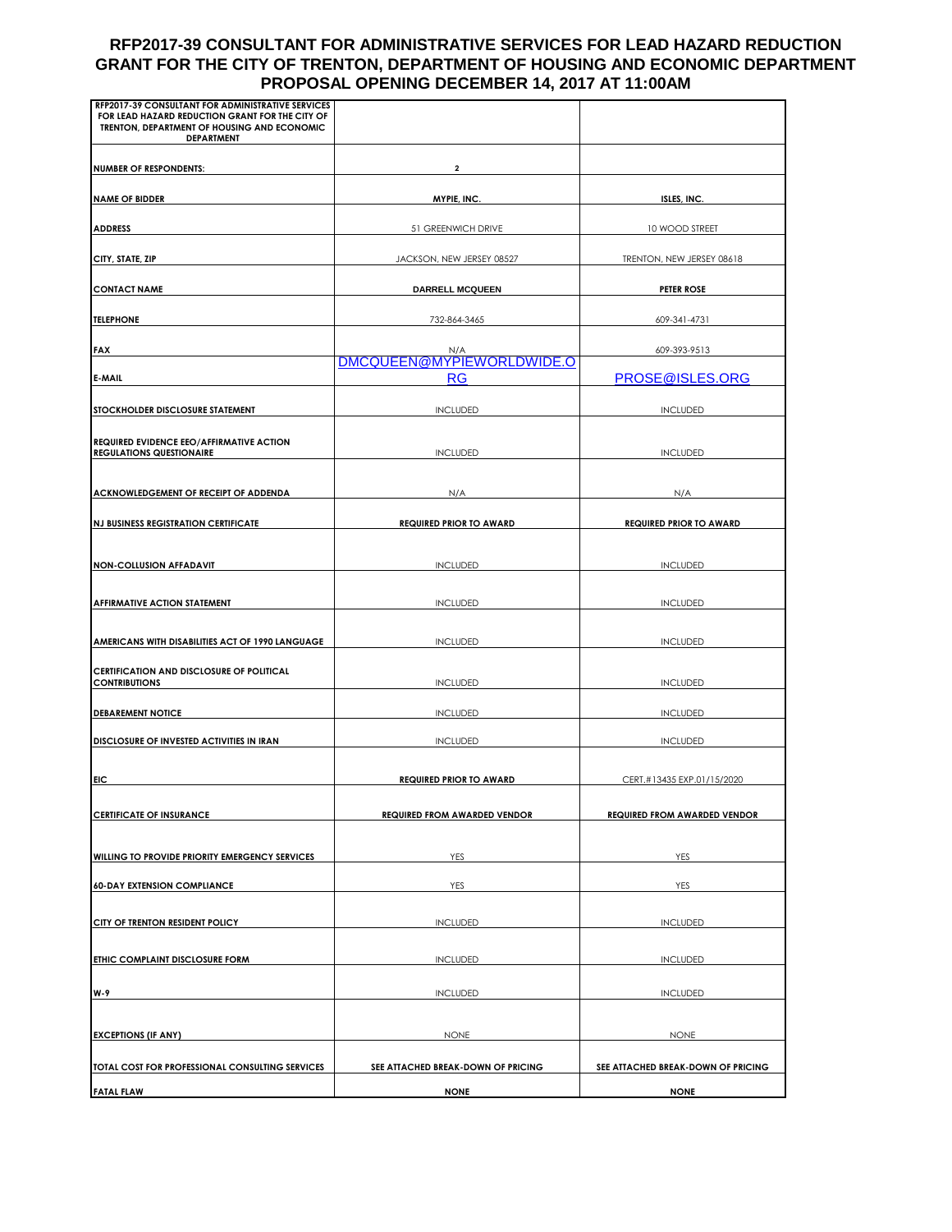## **RFP2017-39 CONSULTANT FOR ADMINISTRATIVE SERVICES FOR LEAD HAZARD REDUCTION GRANT FOR THE CITY OF TRENTON, DEPARTMENT OF HOUSING AND ECONOMIC DEPARTMENT PROPOSAL OPENING DECEMBER 14, 2017 AT 11:00AM**

| RFP2017-39 CONSULTANT FOR ADMINISTRATIVE SERVICES                                                                   |                                     |                                     |  |
|---------------------------------------------------------------------------------------------------------------------|-------------------------------------|-------------------------------------|--|
| FOR LEAD HAZARD REDUCTION GRANT FOR THE CITY OF<br>TRENTON, DEPARTMENT OF HOUSING AND ECONOMIC<br><b>DEPARTMENT</b> |                                     |                                     |  |
| <b>NUMBER OF RESPONDENTS:</b>                                                                                       | 2                                   |                                     |  |
| <b>NAME OF BIDDER</b>                                                                                               | MYPIE, INC.                         |                                     |  |
|                                                                                                                     |                                     | ISLES, INC.                         |  |
| <b>ADDRESS</b>                                                                                                      | 51 GREENWICH DRIVE                  | 10 WOOD STREET                      |  |
| CITY, STATE, ZIP                                                                                                    | JACKSON, NEW JERSEY 08527           | TRENTON, NEW JERSEY 08618           |  |
| <b>CONTACT NAME</b>                                                                                                 | <b>DARRELL MCQUEEN</b>              | <b>PETER ROSE</b>                   |  |
| <b>TELEPHONE</b>                                                                                                    | 732-864-3465                        | 609-341-4731                        |  |
| <b>FAX</b>                                                                                                          | N/A                                 | 609-393-9513                        |  |
| <b>E-MAIL</b>                                                                                                       | DMCQUEEN@MYPIEWORLDWIDE.O<br>RG     | PROSE@ISLES.ORG                     |  |
| STOCKHOLDER DISCLOSURE STATEMENT                                                                                    | <b>INCLUDED</b>                     | <b>INCLUDED</b>                     |  |
|                                                                                                                     |                                     |                                     |  |
| <b>REQUIRED EVIDENCE EEO/AFFIRMATIVE ACTION</b><br><b>REGULATIONS QUESTIONAIRE</b>                                  | <b>INCLUDED</b>                     | <b>INCLUDED</b>                     |  |
|                                                                                                                     |                                     |                                     |  |
| ACKNOWLEDGEMENT OF RECEIPT OF ADDENDA                                                                               | N/A                                 | N/A                                 |  |
| <b>NJ BUSINESS REGISTRATION CERTIFICATE</b>                                                                         | <b>REQUIRED PRIOR TO AWARD</b>      | <b>REQUIRED PRIOR TO AWARD</b>      |  |
| <b>NON-COLLUSION AFFADAVIT</b>                                                                                      | <b>INCLUDED</b>                     | <b>INCLUDED</b>                     |  |
|                                                                                                                     |                                     |                                     |  |
| AFFIRMATIVE ACTION STATEMENT                                                                                        | <b>INCLUDED</b>                     | <b>INCLUDED</b>                     |  |
| AMERICANS WITH DISABILITIES ACT OF 1990 LANGUAGE                                                                    | <b>INCLUDED</b>                     | <b>INCLUDED</b>                     |  |
| <b>CERTIFICATION AND DISCLOSURE OF POLITICAL</b>                                                                    |                                     |                                     |  |
| <b>CONTRIBUTIONS</b>                                                                                                | <b>INCLUDED</b>                     | <b>INCLUDED</b>                     |  |
| <b>DEBAREMENT NOTICE</b>                                                                                            | <b>INCLUDED</b>                     | <b>INCLUDED</b>                     |  |
| DISCLOSURE OF INVESTED ACTIVITIES IN IRAN                                                                           | <b>INCLUDED</b>                     | <b>INCLUDED</b>                     |  |
| EIC                                                                                                                 | <b>REQUIRED PRIOR TO AWARD</b>      | CERT.#13435 EXP.01/15/2020          |  |
| <b>CERTIFICATE OF INSURANCE</b>                                                                                     | <b>REQUIRED FROM AWARDED VENDOR</b> | <b>REQUIRED FROM AWARDED VENDOR</b> |  |
|                                                                                                                     |                                     |                                     |  |
| WILLING TO PROVIDE PRIORITY EMERGENCY SERVICES                                                                      | YES                                 | YES                                 |  |
| <b>60-DAY EXTENSION COMPLIANCE</b>                                                                                  | <b>YES</b>                          | YES                                 |  |
| CITY OF TRENTON RESIDENT POLICY                                                                                     | <b>INCLUDED</b>                     | <b>INCLUDED</b>                     |  |
| ETHIC COMPLAINT DISCLOSURE FORM                                                                                     | <b>INCLUDED</b>                     | <b>INCLUDED</b>                     |  |
| W-9                                                                                                                 | <b>INCLUDED</b>                     | <b>INCLUDED</b>                     |  |
|                                                                                                                     |                                     |                                     |  |
| <b>EXCEPTIONS (IF ANY)</b>                                                                                          | <b>NONE</b>                         | <b>NONE</b>                         |  |
| TOTAL COST FOR PROFESSIONAL CONSULTING SERVICES                                                                     | SEE ATTACHED BREAK-DOWN OF PRICING  | SEE ATTACHED BREAK-DOWN OF PRICING  |  |
| <b>FATAL FLAW</b>                                                                                                   | <b>NONE</b>                         | <b>NONE</b>                         |  |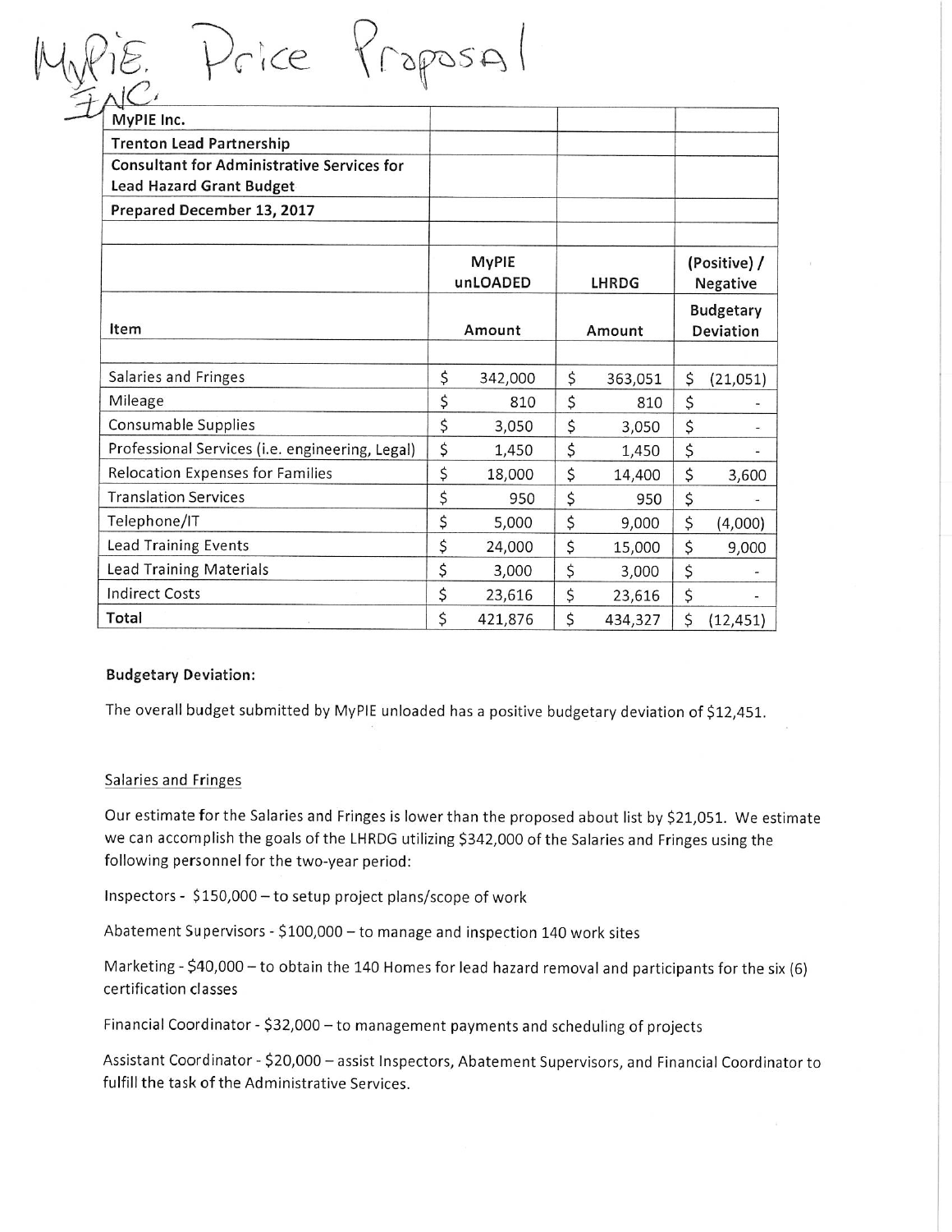| ice                                               |        |                          |        |              |                               |                          |  |
|---------------------------------------------------|--------|--------------------------|--------|--------------|-------------------------------|--------------------------|--|
| MyPIE Inc.                                        |        |                          |        |              |                               |                          |  |
| <b>Trenton Lead Partnership</b>                   |        |                          |        |              |                               |                          |  |
| <b>Consultant for Administrative Services for</b> |        |                          |        |              |                               |                          |  |
| Lead Hazard Grant Budget                          |        |                          |        |              |                               |                          |  |
| Prepared December 13, 2017                        |        |                          |        |              |                               |                          |  |
|                                                   |        |                          |        |              |                               |                          |  |
|                                                   |        | <b>MyPIE</b><br>unLOADED |        | <b>LHRDG</b> |                               | (Positive) /<br>Negative |  |
| Item                                              | Amount |                          | Amount |              | <b>Budgetary</b><br>Deviation |                          |  |
|                                                   |        |                          |        |              |                               |                          |  |
| Salaries and Fringes                              | \$     | 342,000                  | \$     | 363,051      | \$                            | (21,051)                 |  |
| Mileage                                           | \$     | 810                      | \$     | 810          | \$                            |                          |  |
| Consumable Supplies                               | \$     | 3,050                    | \$     | 3,050        | \$                            |                          |  |
| Professional Services (i.e. engineering, Legal)   | \$     | 1,450                    | \$     | 1,450        | \$                            |                          |  |
| Relocation Expenses for Families                  | \$     | 18,000                   | \$     | 14,400       | \$                            | 3,600                    |  |
| <b>Translation Services</b>                       | \$     | 950                      | \$     | 950          | \$                            |                          |  |
| Telephone/IT                                      | \$     | 5,000                    | \$     | 9,000        | \$                            | (4,000)                  |  |
| <b>Lead Training Events</b>                       | \$     | 24,000                   | \$     | 15,000       | \$                            | 9,000                    |  |
| <b>Lead Training Materials</b>                    | \$     | 3,000                    | \$     | 3,000        | \$                            |                          |  |
| <b>Indirect Costs</b>                             | \$     | 23,616                   | \$     | 23,616       | \$                            |                          |  |
| Total                                             | \$     | 421,876                  | \$     | 434,327      | \$                            | (12, 451)                |  |

### **Budgetary Deviation:**

The overall budget submitted by MyPIE unloaded has a positive budgetary deviation of \$12,451.

#### Salaries and Fringes

Our estimate for the Salaries and Fringes is lower than the proposed about list by \$21,051. We estimate we can accomplish the goals of the LHRDG utilizing \$342,000 of the Salaries and Fringes using the following personnel for the two-year period:

Inspectors - \$150,000 - to setup project plans/scope of work

Abatement Supervisors - \$100,000 - to manage and inspection 140 work sites

Marketing - \$40,000 - to obtain the 140 Homes for lead hazard removal and participants for the six (6) certification classes

Financial Coordinator - \$32,000 - to management payments and scheduling of projects

Assistant Coordinator - \$20,000 - assist Inspectors, Abatement Supervisors, and Financial Coordinator to fulfill the task of the Administrative Services.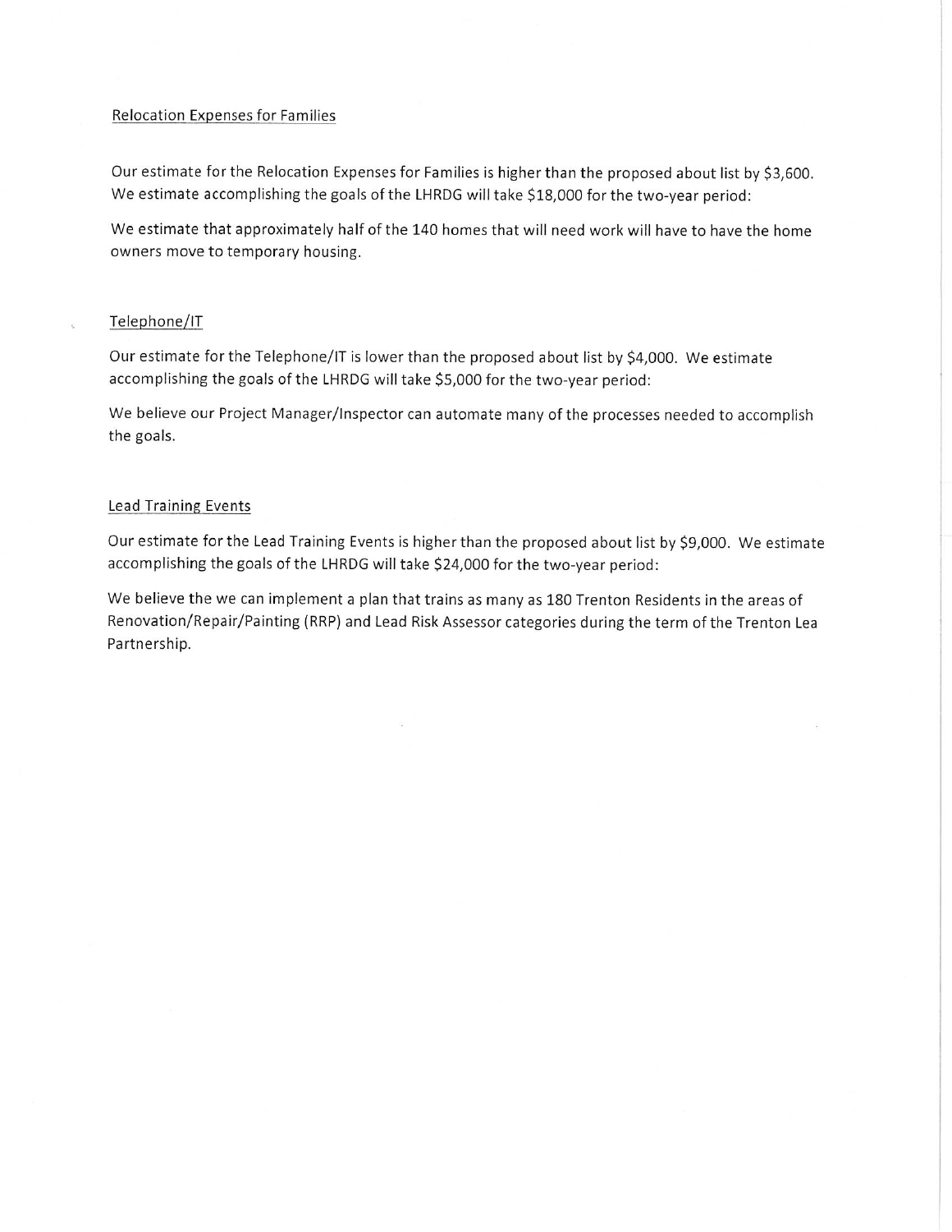#### Relocation Expenses for Families

Our estimate for the Relocation Expenses for Families is higher than the proposed about list by \$3,600. We estimate accomplishing the goals of the LHRDG will take \$18,000 for the two-year period:

We estimate that approximately half of the 140 homes that will need work will have to have the home owners move to temporary housing.

### Telephone/IT

Our estimate for the Telephone/IT is lower than the proposed about list by \$4,000. We estimate accomplishing the goals of the LHRDG will take \$5,000 for the two-year period:

We believe our Project Manager/Inspector can automate many of the processes needed to accomplish the goals.

#### **Lead Training Events**

Our estimate for the Lead Training Events is higher than the proposed about list by \$9,000. We estimate accomplishing the goals of the LHRDG will take \$24,000 for the two-year period:

We believe the we can implement a plan that trains as many as 180 Trenton Residents in the areas of Renovation/Repair/Painting (RRP) and Lead Risk Assessor categories during the term of the Trenton Lea Partnership.

 $\mathcal{L}^{\mathcal{L}}_{\mathbf{w}}$